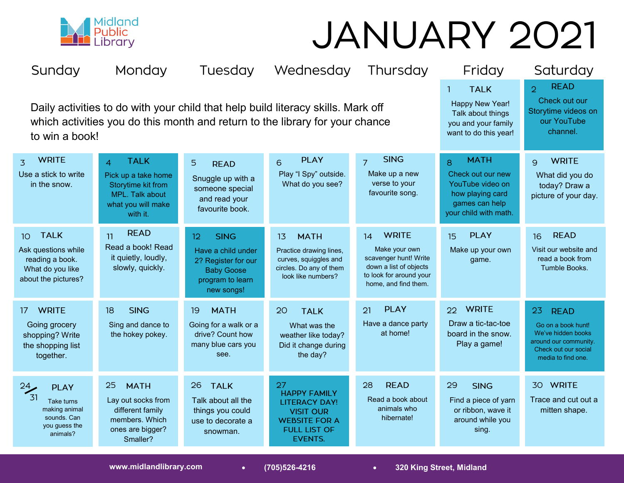

## JANUARY 2021

| Sunday                                                                                                                                                                             | Monday                                                                                                                          |                                                                                                                                    | Tuesday Wednesday                                                                                                               | Thursday                                                                                                                                  | Friday                                                                                                                   | Saturday                                                                                                                             |
|------------------------------------------------------------------------------------------------------------------------------------------------------------------------------------|---------------------------------------------------------------------------------------------------------------------------------|------------------------------------------------------------------------------------------------------------------------------------|---------------------------------------------------------------------------------------------------------------------------------|-------------------------------------------------------------------------------------------------------------------------------------------|--------------------------------------------------------------------------------------------------------------------------|--------------------------------------------------------------------------------------------------------------------------------------|
| Daily activities to do with your child that help build literacy skills. Mark off<br>which activities you do this month and return to the library for your chance<br>to win a book! |                                                                                                                                 |                                                                                                                                    |                                                                                                                                 |                                                                                                                                           | <b>TALK</b><br>$\mathbf{1}$<br>Happy New Year!<br>Talk about things<br>you and your family<br>want to do this year!      | <b>READ</b><br>$\overline{2}$<br>Check out our<br>Storytime videos on<br>our YouTube<br>channel.                                     |
| <b>WRITE</b><br>$\overline{z}$<br>Use a stick to write<br>in the snow.                                                                                                             | <b>TALK</b><br>$\overline{4}$<br>Pick up a take home<br>Storytime kit from<br>MPL. Talk about<br>what you will make<br>with it. | 5<br><b>READ</b><br>Snuggle up with a<br>someone special<br>and read your<br>favourite book.                                       | <b>PLAY</b><br>$\overline{6}$<br>Play "I Spy" outside.<br>What do you see?                                                      | <b>SING</b><br>$\overline{7}$<br>Make up a new<br>verse to your<br>favourite song.                                                        | <b>MATH</b><br>8<br>Check out our new<br>YouTube video on<br>how playing card<br>games can help<br>your child with math. | <b>WRITE</b><br>$\mathbf{Q}$<br>What did you do<br>today? Draw a<br>picture of your day.                                             |
| <b>TALK</b><br>10 <sup>°</sup><br>Ask questions while<br>reading a book.<br>What do you like<br>about the pictures?                                                                | <b>READ</b><br>11<br>Read a book! Read<br>it quietly, loudly,<br>slowly, quickly.                                               | <b>SING</b><br>12 <sub>2</sub><br>Have a child under<br>2? Register for our<br><b>Baby Goose</b><br>program to learn<br>new songs! | <b>MATH</b><br>13<br>Practice drawing lines,<br>curves, squiggles and<br>circles. Do any of them<br>look like numbers?          | <b>WRITE</b><br>14<br>Make your own<br>scavenger hunt! Write<br>down a list of objects<br>to look for around your<br>home, and find them. | <b>PLAY</b><br>15 <sub>15</sub><br>Make up your own<br>game.                                                             | <b>READ</b><br>16<br>Visit our website and<br>read a book from<br>Tumble Books.                                                      |
| <b>WRITE</b><br>17.<br>Going grocery<br>shopping? Write<br>the shopping list<br>together.                                                                                          | <b>SING</b><br>18<br>Sing and dance to<br>the hokey pokey.                                                                      | <b>MATH</b><br>-19<br>Going for a walk or a<br>drive? Count how<br>many blue cars you<br>see.                                      | 20<br><b>TALK</b><br>What was the<br>weather like today?<br>Did it change during<br>the day?                                    | <b>PLAY</b><br>21<br>Have a dance party<br>at home!                                                                                       | 22 WRITE<br>Draw a tic-tac-toe<br>board in the snow.<br>Play a game!                                                     | 23<br><b>READ</b><br>Go on a book hunt!<br>We've hidden books<br>around our community.<br>Check out our social<br>media to find one. |
| $\frac{24}{31}$<br><b>PLAY</b><br>Take turns<br>making animal<br>sounds. Can<br>you guess the<br>animals?                                                                          | 25<br><b>MATH</b><br>Lay out socks from<br>different family<br>members. Which<br>ones are bigger?<br>Smaller?                   | 26<br><b>TALK</b><br>Talk about all the<br>things you could<br>use to decorate a<br>snowman.                                       | 27<br><b>HAPPY FAMILY</b><br><b>LITERACY DAY!</b><br><b>VISIT OUR</b><br><b>WEBSITE FOR A</b><br><b>FULL LIST OF</b><br>EVENTS. | 28<br><b>READ</b><br>Read a book about<br>animals who<br>hibernate!                                                                       | 29<br><b>SING</b><br>Find a piece of yarn<br>or ribbon, wave it<br>around while you<br>sing.                             | 30 WRITE<br>Trace and cut out a<br>mitten shape.                                                                                     |

**www.midlandlibrary.com (705)526-4216 320 King Street, Midland**